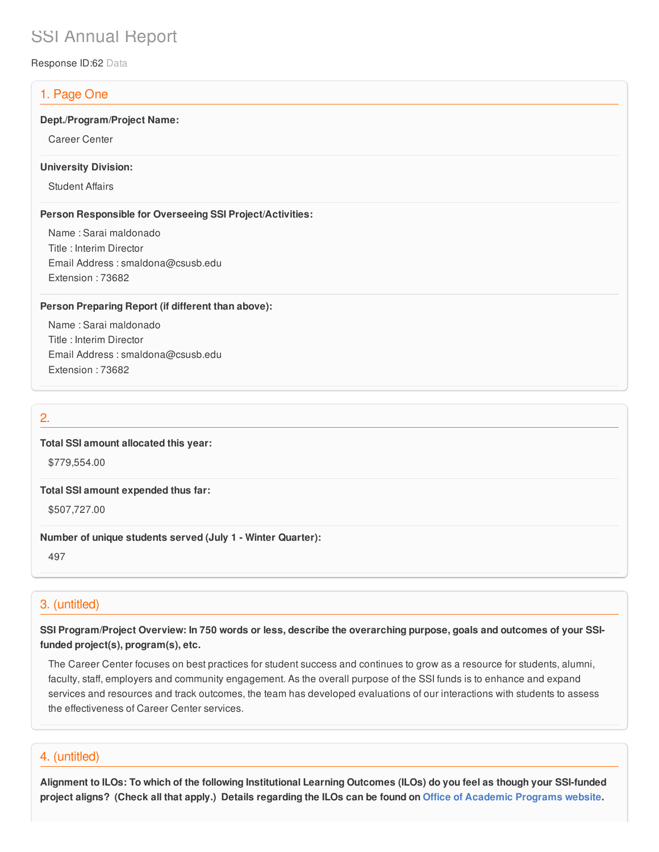# SSI Annual Report

Response ID:62 Data

# 1. Page One

#### **Dept./Program/Project Name:**

Career Center

#### **University Division:**

Student Affairs

### **Person Responsible for Overseeing SSI Project/Activities:**

Name : Sarai maldonado Title : Interim Director Email Address : smaldona@csusb.edu Extension : 73682

### **Person Preparing Report (if different than above):**

Name : Sarai maldonado Title : Interim Director Email Address : smaldona@csusb.edu Extension : 73682

# 2.

## **Total SSI amount allocated this year:**

\$779,554.00

#### **Total SSI amount expended thus far:**

\$507,727.00

### **Number of unique students served (July 1 - Winter Quarter):**

497

# 3. (untitled)

SSI Program/Project Overview: In 750 words or less, describe the overarching purpose, goals and outcomes of your SSI**funded project(s), program(s), etc.**

The Career Center focuses on best practices for student success and continues to grow as a resource for students, alumni, faculty, staff, employers and community engagement. As the overall purpose of the SSI funds is to enhance and expand services and resources and track outcomes, the team has developed evaluations of our interactions with students to assess the effectiveness of Career Center services.

## 4. (untitled)

Alignment to ILOs: To which of the following Institutional Learning Outcomes (ILOs) do you feel as though your SSI-funded project aligns? (Check all that apply.) Details regarding the ILOs can be found on Office of [Academic](https://www.csusb.edu/sites/csusb/files/CSUSB_Institutional_Learning_Outcomes-Endorsed.pdf) Programs website.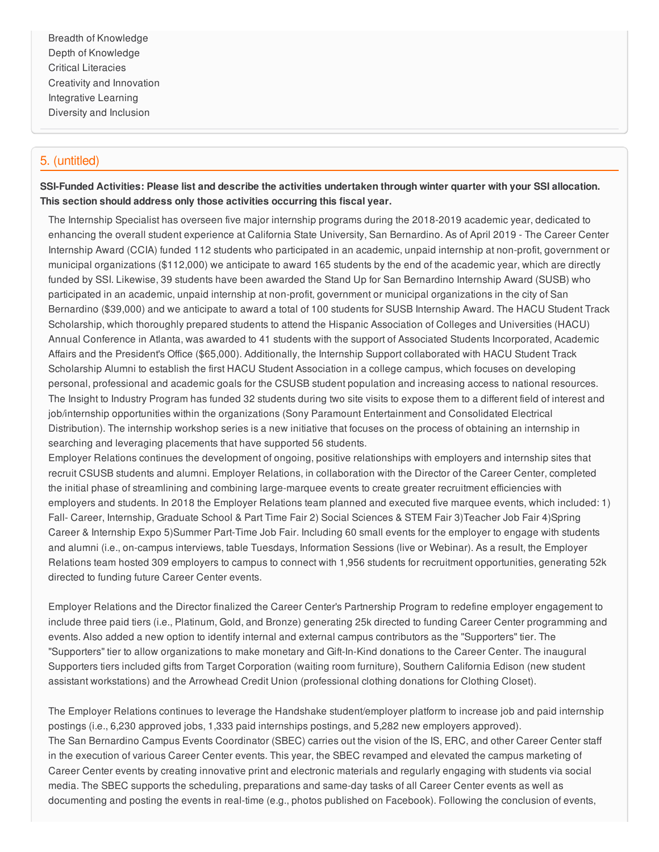Breadth of Knowledge Depth of Knowledge Critical Literacies Creativity and Innovation Integrative Learning Diversity and Inclusion

# 5. (untitled)

SSI-Funded Activities: Please list and describe the activities undertaken through winter quarter with your SSI allocation. **This section should address only those activities occurring this fiscal year.**

The Internship Specialist has overseen five major internship programs during the 2018-2019 academic year, dedicated to enhancing the overall student experience at California State University, San Bernardino. As of April 2019 - The Career Center Internship Award (CCIA) funded 112 students who participated in an academic, unpaid internship at non-profit, government or municipal organizations (\$112,000) we anticipate to award 165 students by the end of the academic year, which are directly funded by SSI. Likewise, 39 students have been awarded the Stand Up for San Bernardino Internship Award (SUSB) who participated in an academic, unpaid internship at non-profit, government or municipal organizations in the city of San Bernardino (\$39,000) and we anticipate to award a total of 100 students for SUSB Internship Award. The HACU Student Track Scholarship, which thoroughly prepared students to attend the Hispanic Association of Colleges and Universities (HACU) Annual Conference in Atlanta, was awarded to 41 students with the support of Associated Students Incorporated, Academic Affairs and the President's Office (\$65,000). Additionally, the Internship Support collaborated with HACU Student Track Scholarship Alumni to establish the first HACU Student Association in a college campus, which focuses on developing personal, professional and academic goals for the CSUSB student population and increasing access to national resources. The Insight to Industry Program has funded 32 students during two site visits to expose them to a different field of interest and job/internship opportunities within the organizations (Sony Paramount Entertainment and Consolidated Electrical Distribution). The internship workshop series is a new initiative that focuses on the process of obtaining an internship in searching and leveraging placements that have supported 56 students.

Employer Relations continues the development of ongoing, positive relationships with employers and internship sites that recruit CSUSB students and alumni. Employer Relations, in collaboration with the Director of the Career Center, completed the initial phase of streamlining and combining large-marquee events to create greater recruitment efficiencies with employers and students. In 2018 the Employer Relations team planned and executed five marquee events, which included: 1) Fall- Career, Internship, Graduate School & Part Time Fair 2) Social Sciences & STEM Fair 3)Teacher Job Fair 4)Spring Career & Internship Expo 5)Summer Part-Time Job Fair. Including 60 small events for the employer to engage with students and alumni (i.e., on-campus interviews, table Tuesdays, Information Sessions (live or Webinar). As a result, the Employer Relations team hosted 309 employers to campus to connect with 1,956 students for recruitment opportunities, generating 52k directed to funding future Career Center events.

Employer Relations and the Director finalized the Career Center's Partnership Program to redefine employer engagement to include three paid tiers (i.e., Platinum, Gold, and Bronze) generating 25k directed to funding Career Center programming and events. Also added a new option to identify internal and external campus contributors as the "Supporters" tier. The "Supporters" tier to allow organizations to make monetary and Gift-In-Kind donations to the Career Center. The inaugural Supporters tiers included gifts from Target Corporation (waiting room furniture), Southern California Edison (new student assistant workstations) and the Arrowhead Credit Union (professional clothing donations for Clothing Closet).

The Employer Relations continues to leverage the Handshake student/employer platform to increase job and paid internship postings (i.e., 6,230 approved jobs, 1,333 paid internships postings, and 5,282 new employers approved). The San Bernardino Campus Events Coordinator (SBEC) carries out the vision of the IS, ERC, and other Career Center staff in the execution of various Career Center events. This year, the SBEC revamped and elevated the campus marketing of Career Center events by creating innovative print and electronic materials and regularly engaging with students via social media. The SBEC supports the scheduling, preparations and same-day tasks of all Career Center events as well as documenting and posting the events in real-time (e.g., photos published on Facebook). Following the conclusion of events,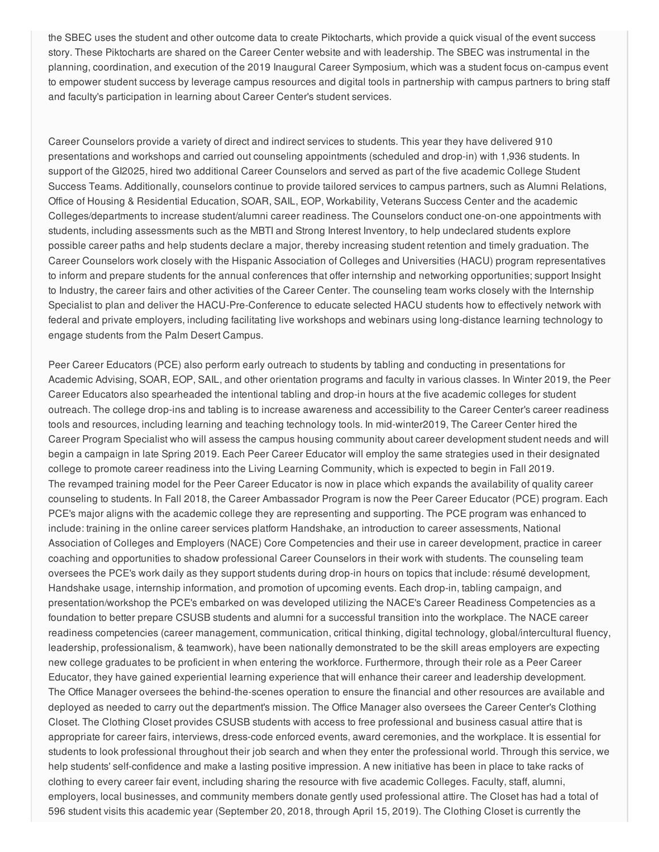the SBEC uses the student and other outcome data to create Piktocharts, which provide a quick visual of the event success story. These Piktocharts are shared on the Career Center website and with leadership. The SBEC was instrumental in the planning, coordination, and execution of the 2019 Inaugural Career Symposium, which was a student focus on-campus event to empower student success by leverage campus resources and digital tools in partnership with campus partners to bring staff and faculty's participation in learning about Career Center's student services.

Career Counselors provide a variety of direct and indirect services to students. This year they have delivered 910 presentations and workshops and carried out counseling appointments (scheduled and drop-in) with 1,936 students. In support of the GI2025, hired two additional Career Counselors and served as part of the five academic College Student Success Teams. Additionally, counselors continue to provide tailored services to campus partners, such as Alumni Relations, Office of Housing & Residential Education, SOAR, SAIL, EOP, Workability, Veterans Success Center and the academic Colleges/departments to increase student/alumni career readiness. The Counselors conduct one-on-one appointments with students, including assessments such as the MBTI and Strong Interest Inventory, to help undeclared students explore possible career paths and help students declare a major, thereby increasing student retention and timely graduation. The Career Counselors work closely with the Hispanic Association of Colleges and Universities (HACU) program representatives to inform and prepare students for the annual conferences that offer internship and networking opportunities; support Insight to Industry, the career fairs and other activities of the Career Center. The counseling team works closely with the Internship Specialist to plan and deliver the HACU-Pre-Conference to educate selected HACU students how to effectively network with federal and private employers, including facilitating live workshops and webinars using long-distance learning technology to engage students from the Palm Desert Campus.

Peer Career Educators (PCE) also perform early outreach to students by tabling and conducting in presentations for Academic Advising, SOAR, EOP, SAIL, and other orientation programs and faculty in various classes. In Winter 2019, the Peer Career Educators also spearheaded the intentional tabling and drop-in hours at the five academic colleges for student outreach. The college drop-ins and tabling is to increase awareness and accessibility to the Career Center's career readiness tools and resources, including learning and teaching technology tools. In mid-winter2019, The Career Center hired the Career Program Specialist who will assess the campus housing community about career development student needs and will begin a campaign in late Spring 2019. Each Peer Career Educator will employ the same strategies used in their designated college to promote career readiness into the Living Learning Community, which is expected to begin in Fall 2019. The revamped training model for the Peer Career Educator is now in place which expands the availability of quality career counseling to students. In Fall 2018, the Career Ambassador Program is now the Peer Career Educator (PCE) program. Each PCE's major aligns with the academic college they are representing and supporting. The PCE program was enhanced to include: training in the online career services platform Handshake, an introduction to career assessments, National Association of Colleges and Employers (NACE) Core Competencies and their use in career development, practice in career coaching and opportunities to shadow professional Career Counselors in their work with students. The counseling team oversees the PCE's work daily as they support students during drop-in hours on topics that include: résumé development, Handshake usage, internship information, and promotion of upcoming events. Each drop-in, tabling campaign, and presentation/workshop the PCE's embarked on was developed utilizing the NACE's Career Readiness Competencies as a foundation to better prepare CSUSB students and alumni for a successful transition into the workplace. The NACE career readiness competencies (career management, communication, critical thinking, digital technology, global/intercultural fluency, leadership, professionalism, & teamwork), have been nationally demonstrated to be the skill areas employers are expecting new college graduates to be proficient in when entering the workforce. Furthermore, through their role as a Peer Career Educator, they have gained experiential learning experience that will enhance their career and leadership development. The Office Manager oversees the behind-the-scenes operation to ensure the financial and other resources are available and deployed as needed to carry out the department's mission. The Office Manager also oversees the Career Center's Clothing Closet. The Clothing Closet provides CSUSB students with access to free professional and business casual attire that is appropriate for career fairs, interviews, dress-code enforced events, award ceremonies, and the workplace. It is essential for students to look professional throughout their job search and when they enter the professional world. Through this service, we help students' self-confidence and make a lasting positive impression. A new initiative has been in place to take racks of clothing to every career fair event, including sharing the resource with five academic Colleges. Faculty, staff, alumni, employers, local businesses, and community members donate gently used professional attire. The Closet has had a total of 596 student visits this academic year (September 20, 2018, through April 15, 2019). The Clothing Closet is currently the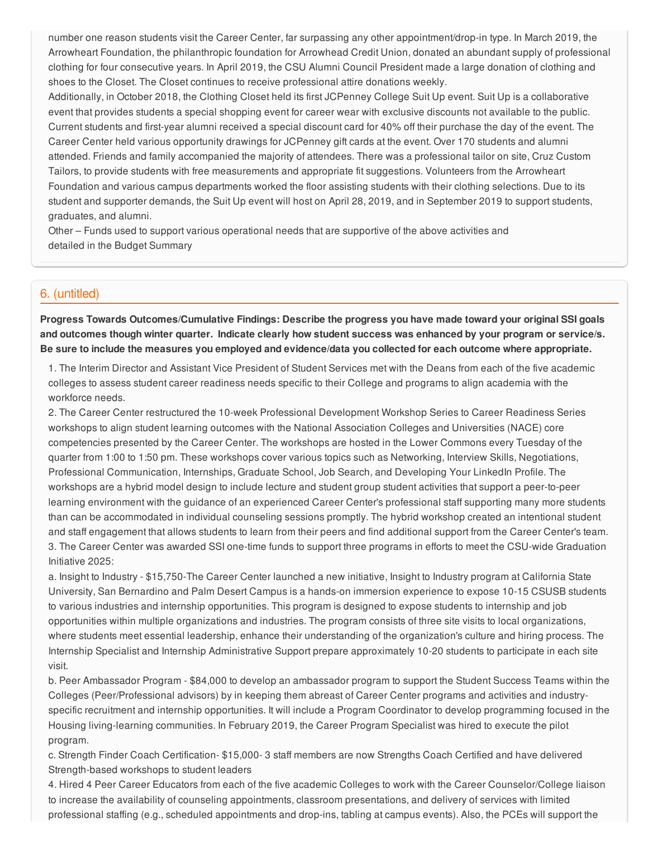number one reason students visit the Career Center, far surpassing any other appointment/drop-in type. In March 2019, the Arrowheart Foundation, the philanthropic foundation for Arrowhead Credit Union, donated an abundant supply of professional clothing for four consecutive years. In April 2019, the CSU Alumni Council President made a large donation of clothing and shoes to the Closet. The Closet continues to receive professional attire donations weekly.

Additionally, in October 2018, the Clothing Closet held its first JCPenney College Suit Up event. Suit Up is a collaborative event that provides students a special shopping event for career wear with exclusive discounts not available to the public. Current students and first-year alumni received a special discount card for 40% off their purchase the day of the event. The Career Center held various opportunity drawings for JCPenney gift cards at the event. Over 170 students and alumni attended. Friends and family accompanied the majority of attendees. There was a professional tailor on site, Cruz Custom Tailors, to provide students with free measurements and appropriate fit suggestions. Volunteers from the Arrowheart Foundation and various campus departments worked the floor assisting students with their clothing selections. Due to its student and supporter demands, the Suit Up event will host on April 28, 2019, and in September 2019 to support students, graduates, and alumni.

Other – Funds used to support various operational needs that are supportive of the above activities and detailed in the Budget Summary

## 6. (untitled)

**Progress Towards Outcomes/Cumulative Findings: Describe the progress you have made toward your original SSI goals** and outcomes though winter quarter. Indicate clearly how student success was enhanced by your program or service/s. Be sure to include the measures you employed and evidence/data you collected for each outcome where appropriate.

1. The Interim Director and Assistant Vice President of Student Services met with the Deans from each of the five academic colleges to assess student career readiness needs specific to their College and programs to align academia with the workforce needs.

2. The Career Center restructured the 10-week Professional Development Workshop Series to Career Readiness Series workshops to align student learning outcomes with the National Association Colleges and Universities (NACE) core competencies presented by the Career Center. The workshops are hosted in the Lower Commons every Tuesday of the quarter from 1:00 to 1:50 pm. These workshops cover various topics such as Networking, Interview Skills, Negotiations, Professional Communication, Internships, Graduate School, Job Search, and Developing Your LinkedIn Profile. The workshops are a hybrid model design to include lecture and student group student activities that support a peer-to-peer learning environment with the guidance of an experienced Career Center's professional staff supporting many more students than can be accommodated in individual counseling sessions promptly. The hybrid workshop created an intentional student and staff engagement that allows students to learn from their peers and find additional support from the Career Center's team. 3. The Career Center was awarded SSI one-time funds to support three programs in efforts to meet the CSU-wide Graduation Initiative 2025:

a. Insight to Industry - \$15,750-The Career Center launched a new initiative, Insight to Industry program at California State University, San Bernardino and Palm Desert Campus is a hands-on immersion experience to expose 10-15 CSUSB students to various industries and internship opportunities. This program is designed to expose students to internship and job opportunities within multiple organizations and industries. The program consists of three site visits to local organizations, where students meet essential leadership, enhance their understanding of the organization's culture and hiring process. The Internship Specialist and Internship Administrative Support prepare approximately 10-20 students to participate in each site visit.

b. Peer Ambassador Program - \$84,000 to develop an ambassador program to support the Student Success Teams within the Colleges (Peer/Professional advisors) by in keeping them abreast of Career Center programs and activities and industryspecific recruitment and internship opportunities. It will include a Program Coordinator to develop programming focused in the Housing living-learning communities. In February 2019, the Career Program Specialist was hired to execute the pilot program.

c. Strength Finder Coach Certification- \$15,000- 3 staff members are now Strengths Coach Certified and have delivered Strength-based workshops to student leaders

4. Hired 4 Peer Career Educators from each of the five academic Colleges to work with the Career Counselor/College liaison to increase the availability of counseling appointments, classroom presentations, and delivery of services with limited professional staffing (e.g., scheduled appointments and drop-ins, tabling at campus events). Also, the PCEs will support the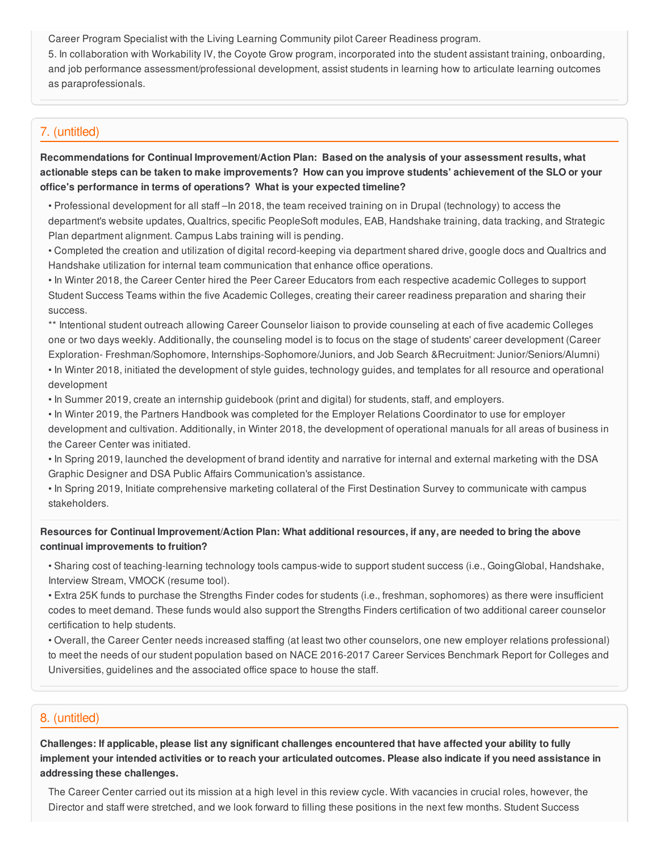Career Program Specialist with the Living Learning Community pilot Career Readiness program.

5. In collaboration with Workability lV, the Coyote Grow program, incorporated into the student assistant training, onboarding, and job performance assessment/professional development, assist students in learning how to articulate learning outcomes as paraprofessionals.

# 7. (untitled)

**Recommendations for Continual Improvement/Action Plan: Based on the analysis of your assessment results, what** actionable steps can be taken to make improvements? How can you improve students' achievement of the SLO or your **office's performance in terms of operations? What is your expected timeline?**

- Professional development for all staff –In 2018, the team received training on in Drupal (technology) to access the department's website updates, Qualtrics, specific PeopleSoft modules, EAB, Handshake training, data tracking, and Strategic Plan department alignment. Campus Labs training will is pending.
- Completed the creation and utilization of digital record-keeping via department shared drive, google docs and Qualtrics and Handshake utilization for internal team communication that enhance office operations.

• In Winter 2018, the Career Center hired the Peer Career Educators from each respective academic Colleges to support Student Success Teams within the five Academic Colleges, creating their career readiness preparation and sharing their success.

\*\* Intentional student outreach allowing Career Counselor liaison to provide counseling at each of five academic Colleges one or two days weekly. Additionally, the counseling model is to focus on the stage of students' career development (Career Exploration- Freshman/Sophomore, Internships-Sophomore/Juniors, and Job Search &Recruitment: Junior/Seniors/Alumni)

• In Winter 2018, initiated the development of style guides, technology guides, and templates for all resource and operational development

- In Summer 2019, create an internship guidebook (print and digital) for students, staff, and employers.
- In Winter 2019, the Partners Handbook was completed for the Employer Relations Coordinator to use for employer development and cultivation. Additionally, in Winter 2018, the development of operational manuals for all areas of business in the Career Center was initiated.
- In Spring 2019, launched the development of brand identity and narrative for internal and external marketing with the DSA Graphic Designer and DSA Public Affairs Communication's assistance.
- In Spring 2019, Initiate comprehensive marketing collateral of the First Destination Survey to communicate with campus stakeholders.

## Resources for Continual Improvement/Action Plan: What additional resources, if any, are needed to bring the above **continual improvements to fruition?**

- Sharing cost of teaching-learning technology tools campus-wide to support student success (i.e., GoingGlobal, Handshake, Interview Stream, VMOCK (resume tool).
- Extra 25K funds to purchase the Strengths Finder codes for students (i.e., freshman, sophomores) as there were insufficient codes to meet demand. These funds would also support the Strengths Finders certification of two additional career counselor certification to help students.

• Overall, the Career Center needs increased staffing (at least two other counselors, one new employer relations professional) to meet the needs of our student population based on NACE 2016-2017 Career Services Benchmark Report for Colleges and Universities, guidelines and the associated office space to house the staff.

# 8. (untitled)

Challenges: If applicable, please list any significant challenges encountered that have affected your ability to fully implement your intended activities or to reach your articulated outcomes. Please also indicate if you need assistance in **addressing these challenges.**

The Career Center carried out its mission at a high level in this review cycle. With vacancies in crucial roles, however, the Director and staff were stretched, and we look forward to filling these positions in the next few months. Student Success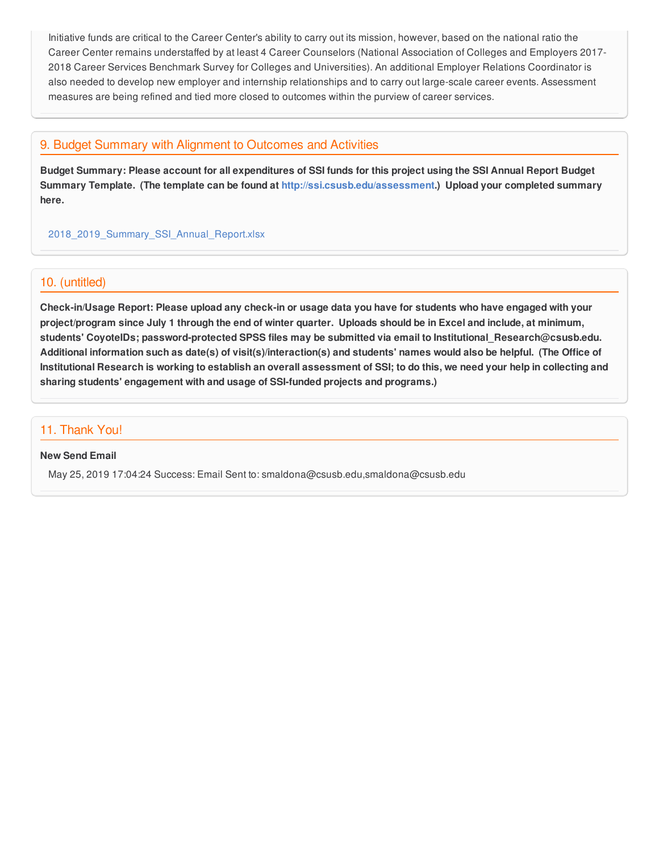Initiative funds are critical to the Career Center's ability to carry out its mission, however, based on the national ratio the Career Center remains understaffed by at least 4 Career Counselors (National Association of Colleges and Employers 2017- 2018 Career Services Benchmark Survey for Colleges and Universities). An additional Employer Relations Coordinator is also needed to develop new employer and internship relationships and to carry out large-scale career events. Assessment measures are being refined and tied more closed to outcomes within the purview of career services.

# 9. Budget Summary with Alignment to Outcomes and Activities

Budget Summary: Please account for all expenditures of SSI funds for this project using the SSI Annual Report Budget **Summary Template. (The template can be found at <http://ssi.csusb.edu/assessment>.) Upload your completed summary here.**

[2018\\_2019\\_Summary\\_SSI\\_Annual\\_Report.xlsx](https://surveygizmoresponseuploads.s3.amazonaws.com/fileuploads/98679/3939151/180-79a6beb1ac7ae22cfc9e9886911a3b0a_2018_2019_Summary_SSI_Annual_Report.xlsx)

## 10. (untitled)

Check-in/Usage Report: Please upload any check-in or usage data you have for students who have engaged with your project/program since July 1 through the end of winter quarter. Uploads should be in Excel and include, at minimum, **students' CoyoteIDs; password-protected SPSS files may be submitted via email to Institutional\_Research@csusb.edu.** Additional information such as date(s) of visit(s)/interaction(s) and students' names would also be helpful. (The Office of Institutional Research is working to establish an overall assessment of SSI; to do this, we need your help in collecting and **sharing students' engagement with and usage of SSI-funded projects and programs.)**

## 11. Thank You!

#### **New Send Email**

May 25, 2019 17:04:24 Success: Email Sent to: smaldona@csusb.edu,smaldona@csusb.edu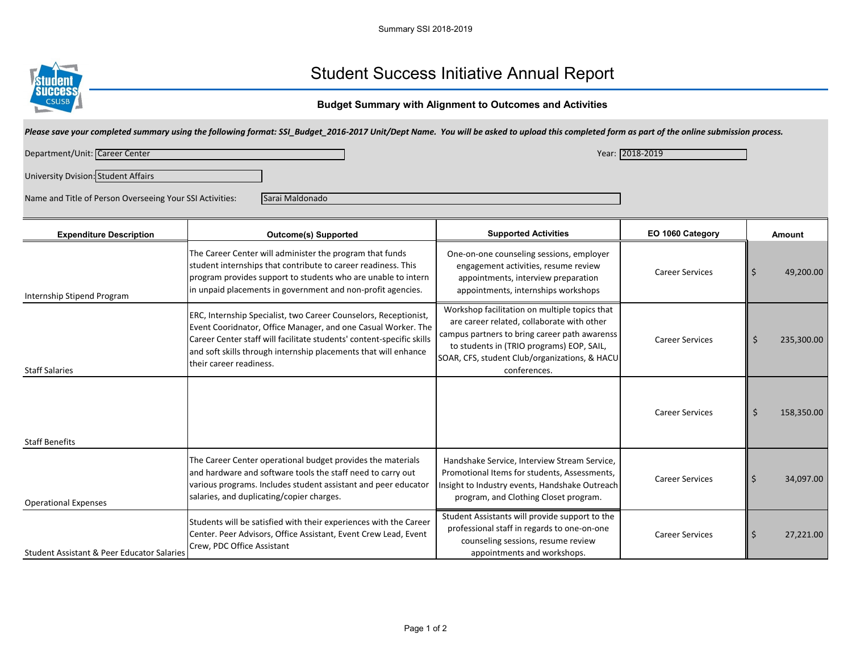

# Student Success Initiative Annual Report

## **Budget Summary with Alignment to Outcomes and Activities**

| Please save your completed summary using the following format: SSI_Budget_2016-2017 Unit/Dept Name. You will be asked to upload this completed form as part of the online submission process. |                                                                                                                                                                                                                                                                                                          |                                                                                                                                                                                                                                                            |                        |                |  |  |  |  |
|-----------------------------------------------------------------------------------------------------------------------------------------------------------------------------------------------|----------------------------------------------------------------------------------------------------------------------------------------------------------------------------------------------------------------------------------------------------------------------------------------------------------|------------------------------------------------------------------------------------------------------------------------------------------------------------------------------------------------------------------------------------------------------------|------------------------|----------------|--|--|--|--|
| Department/Unit: Career Center                                                                                                                                                                | Year: 2018-2019                                                                                                                                                                                                                                                                                          |                                                                                                                                                                                                                                                            |                        |                |  |  |  |  |
| University Dvision: Student Affairs                                                                                                                                                           |                                                                                                                                                                                                                                                                                                          |                                                                                                                                                                                                                                                            |                        |                |  |  |  |  |
| Name and Title of Person Overseeing Your SSI Activities:                                                                                                                                      | Sarai Maldonado                                                                                                                                                                                                                                                                                          |                                                                                                                                                                                                                                                            |                        |                |  |  |  |  |
| <b>Expenditure Description</b>                                                                                                                                                                | <b>Outcome(s) Supported</b>                                                                                                                                                                                                                                                                              | <b>Supported Activities</b>                                                                                                                                                                                                                                | EO 1060 Category       | <b>Amount</b>  |  |  |  |  |
| Internship Stipend Program                                                                                                                                                                    | The Career Center will administer the program that funds<br>student internships that contribute to career readiness. This<br>program provides support to students who are unable to intern<br>in unpaid placements in government and non-profit agencies.                                                | One-on-one counseling sessions, employer<br>engagement activities, resume review<br>appointments, interview preparation<br>appointments, internships workshops                                                                                             | <b>Career Services</b> | 49,200.00<br>Ś |  |  |  |  |
| <b>Staff Salaries</b>                                                                                                                                                                         | ERC, Internship Specialist, two Career Counselors, Receptionist,<br>Event Cooridnator, Office Manager, and one Casual Worker. The<br>Career Center staff will facilitate students' content-specific skills<br>and soft skills through internship placements that will enhance<br>their career readiness. | Workshop facilitation on multiple topics that<br>are career related, collaborate with other<br>campus partners to bring career path awarenss<br>to students in (TRIO programs) EOP, SAIL,<br>SOAR, CFS, student Club/organizations, & HACU<br>conferences. | <b>Career Services</b> | 235,300.00     |  |  |  |  |
| <b>Staff Benefits</b>                                                                                                                                                                         |                                                                                                                                                                                                                                                                                                          |                                                                                                                                                                                                                                                            | <b>Career Services</b> | 158,350.00     |  |  |  |  |
| <b>Operational Expenses</b>                                                                                                                                                                   | The Career Center operational budget provides the materials<br>and hardware and software tools the staff need to carry out<br>various programs. Includes student assistant and peer educator<br>salaries, and duplicating/copier charges.                                                                | Handshake Service, Interview Stream Service,<br>Promotional Items for students, Assessments,<br>Insight to Industry events, Handshake Outreach<br>program, and Clothing Closet program.                                                                    | <b>Career Services</b> | 34,097.00      |  |  |  |  |
| <b>Student Assistant &amp; Peer Educator Salaries</b>                                                                                                                                         | Students will be satisfied with their experiences with the Career<br>Center. Peer Advisors, Office Assistant, Event Crew Lead, Event<br>Crew, PDC Office Assistant                                                                                                                                       | Student Assistants will provide support to the<br>professional staff in regards to one-on-one<br>counseling sessions, resume review<br>appointments and workshops.                                                                                         | <b>Career Services</b> | 27,221.00      |  |  |  |  |